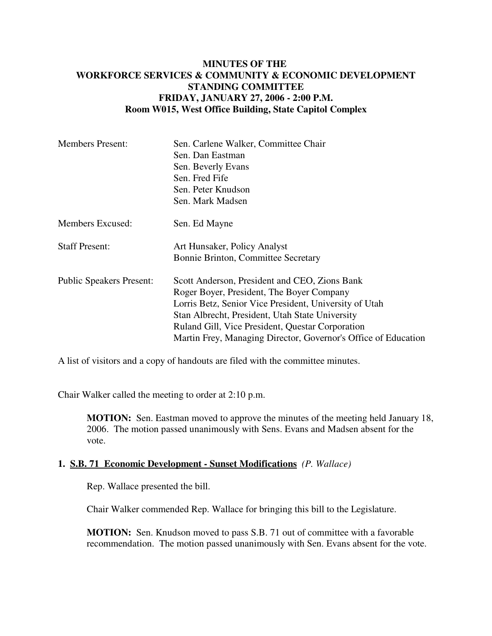## **MINUTES OF THE WORKFORCE SERVICES & COMMUNITY & ECONOMIC DEVELOPMENT STANDING COMMITTEE FRIDAY, JANUARY 27, 2006 - 2:00 P.M. Room W015, West Office Building, State Capitol Complex**

| <b>Members Present:</b>         | Sen. Carlene Walker, Committee Chair                           |
|---------------------------------|----------------------------------------------------------------|
|                                 | Sen. Dan Eastman                                               |
|                                 | Sen. Beverly Evans                                             |
|                                 | Sen. Fred Fife                                                 |
|                                 | Sen. Peter Knudson                                             |
|                                 | Sen. Mark Madsen                                               |
| Members Excused:                | Sen. Ed Mayne                                                  |
| <b>Staff Present:</b>           | Art Hunsaker, Policy Analyst                                   |
|                                 | Bonnie Brinton, Committee Secretary                            |
| <b>Public Speakers Present:</b> | Scott Anderson, President and CEO, Zions Bank                  |
|                                 | Roger Boyer, President, The Boyer Company                      |
|                                 | Lorris Betz, Senior Vice President, University of Utah         |
|                                 | Stan Albrecht, President, Utah State University                |
|                                 | Ruland Gill, Vice President, Questar Corporation               |
|                                 | Martin Frey, Managing Director, Governor's Office of Education |

A list of visitors and a copy of handouts are filed with the committee minutes.

Chair Walker called the meeting to order at 2:10 p.m.

**MOTION:** Sen. Eastman moved to approve the minutes of the meeting held January 18, 2006. The motion passed unanimously with Sens. Evans and Madsen absent for the vote.

## **1. S.B. 71 Economic Development - Sunset Modifications** *(P. Wallace)*

Rep. Wallace presented the bill.

Chair Walker commended Rep. Wallace for bringing this bill to the Legislature.

**MOTION:** Sen. Knudson moved to pass S.B. 71 out of committee with a favorable recommendation. The motion passed unanimously with Sen. Evans absent for the vote.